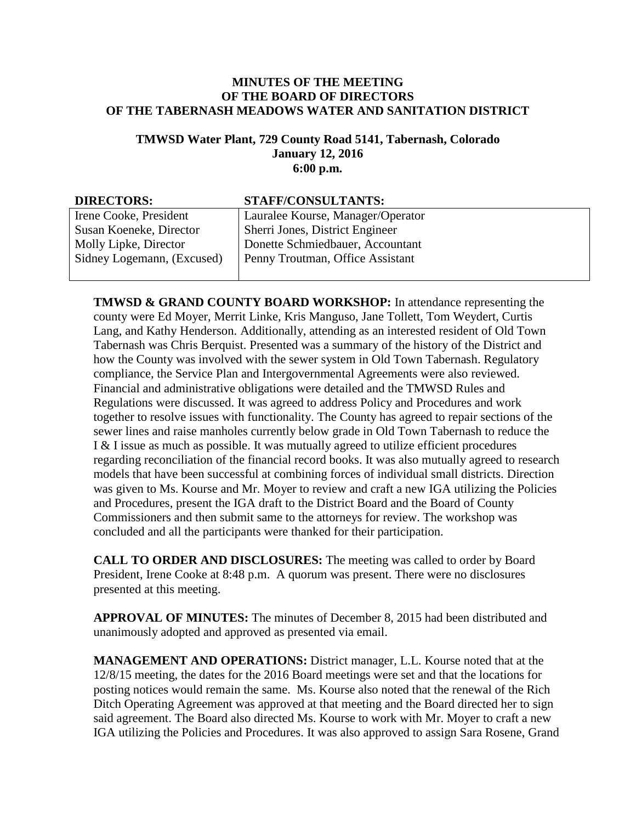## **MINUTES OF THE MEETING OF THE BOARD OF DIRECTORS OF THE TABERNASH MEADOWS WATER AND SANITATION DISTRICT**

## **TMWSD Water Plant, 729 County Road 5141, Tabernash, Colorado January 12, 2016 6:00 p.m.**

| <b>DIRECTORS:</b>          | <b>STAFF/CONSULTANTS:</b>         |
|----------------------------|-----------------------------------|
| Irene Cooke, President     | Lauralee Kourse, Manager/Operator |
| Susan Koeneke, Director    | Sherri Jones, District Engineer   |
| Molly Lipke, Director      | Donette Schmiedbauer, Accountant  |
| Sidney Logemann, (Excused) | Penny Troutman, Office Assistant  |
|                            |                                   |

**TMWSD & GRAND COUNTY BOARD WORKSHOP:** In attendance representing the county were Ed Moyer, Merrit Linke, Kris Manguso, Jane Tollett, Tom Weydert, Curtis Lang, and Kathy Henderson. Additionally, attending as an interested resident of Old Town Tabernash was Chris Berquist. Presented was a summary of the history of the District and how the County was involved with the sewer system in Old Town Tabernash. Regulatory compliance, the Service Plan and Intergovernmental Agreements were also reviewed. Financial and administrative obligations were detailed and the TMWSD Rules and Regulations were discussed. It was agreed to address Policy and Procedures and work together to resolve issues with functionality. The County has agreed to repair sections of the sewer lines and raise manholes currently below grade in Old Town Tabernash to reduce the I & I issue as much as possible. It was mutually agreed to utilize efficient procedures regarding reconciliation of the financial record books. It was also mutually agreed to research models that have been successful at combining forces of individual small districts. Direction was given to Ms. Kourse and Mr. Moyer to review and craft a new IGA utilizing the Policies and Procedures, present the IGA draft to the District Board and the Board of County Commissioners and then submit same to the attorneys for review. The workshop was concluded and all the participants were thanked for their participation.

**CALL TO ORDER AND DISCLOSURES:** The meeting was called to order by Board President, Irene Cooke at 8:48 p.m. A quorum was present. There were no disclosures presented at this meeting.

**APPROVAL OF MINUTES:** The minutes of December 8, 2015 had been distributed and unanimously adopted and approved as presented via email.

**MANAGEMENT AND OPERATIONS:** District manager, L.L. Kourse noted that at the 12/8/15 meeting, the dates for the 2016 Board meetings were set and that the locations for posting notices would remain the same. Ms. Kourse also noted that the renewal of the Rich Ditch Operating Agreement was approved at that meeting and the Board directed her to sign said agreement. The Board also directed Ms. Kourse to work with Mr. Moyer to craft a new IGA utilizing the Policies and Procedures. It was also approved to assign Sara Rosene, Grand